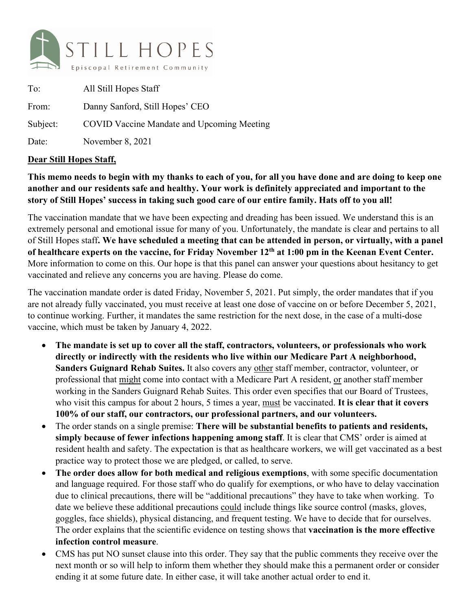

| To:      | All Still Hopes Staff                             |
|----------|---------------------------------------------------|
| From:    | Danny Sanford, Still Hopes' CEO                   |
| Subject: | <b>COVID Vaccine Mandate and Upcoming Meeting</b> |
| Date:    | November 8, 2021                                  |

## **Dear Still Hopes Staff,**

## **This memo needs to begin with my thanks to each of you, for all you have done and are doing to keep one another and our residents safe and healthy. Your work is definitely appreciated and important to the story of Still Hopes' success in taking such good care of our entire family. Hats off to you all!**

The vaccination mandate that we have been expecting and dreading has been issued. We understand this is an extremely personal and emotional issue for many of you. Unfortunately, the mandate is clear and pertains to all of Still Hopes staff**. We have scheduled a meeting that can be attended in person, or virtually, with a panel of healthcare experts on the vaccine, for Friday November 12th at 1:00 pm in the Keenan Event Center.** More information to come on this. Our hope is that this panel can answer your questions about hesitancy to get vaccinated and relieve any concerns you are having. Please do come.

The vaccination mandate order is dated Friday, November 5, 2021. Put simply, the order mandates that if you are not already fully vaccinated, you must receive at least one dose of vaccine on or before December 5, 2021, to continue working. Further, it mandates the same restriction for the next dose, in the case of a multi-dose vaccine, which must be taken by January 4, 2022.

- **The mandate is set up to cover all the staff, contractors, volunteers, or professionals who work directly or indirectly with the residents who live within our Medicare Part A neighborhood, Sanders Guignard Rehab Suites.** It also covers any other staff member, contractor, volunteer, or professional that might come into contact with a Medicare Part A resident, or another staff member working in the Sanders Guignard Rehab Suites. This order even specifies that our Board of Trustees, who visit this campus for about 2 hours, 5 times a year, must be vaccinated. **It is clear that it covers 100% of our staff, our contractors, our professional partners, and our volunteers.**
- The order stands on a single premise: **There will be substantial benefits to patients and residents, simply because of fewer infections happening among staff**. It is clear that CMS' order is aimed at resident health and safety. The expectation is that as healthcare workers, we will get vaccinated as a best practice way to protect those we are pledged, or called, to serve.
- **The order does allow for both medical and religious exemptions**, with some specific documentation and language required. For those staff who do qualify for exemptions, or who have to delay vaccination due to clinical precautions, there will be "additional precautions" they have to take when working. To date we believe these additional precautions could include things like source control (masks, gloves, goggles, face shields), physical distancing, and frequent testing. We have to decide that for ourselves. The order explains that the scientific evidence on testing shows that **vaccination is the more effective infection control measure**.
- CMS has put NO sunset clause into this order. They say that the public comments they receive over the next month or so will help to inform them whether they should make this a permanent order or consider ending it at some future date. In either case, it will take another actual order to end it.